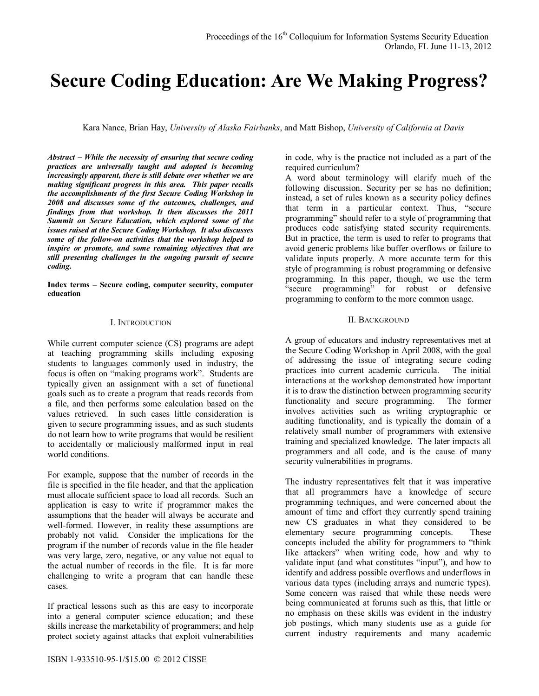# **Secure Coding Education: Are We Making Progress?**

Kara Nance, Brian Hay, *University of Alaska Fairbanks*, and Matt Bishop, *University of California at Davis*

*Abstract – While the necessity of ensuring that secure coding practices are universally taught and adopted is becoming increasingly apparent, there is still debate over whether we are making significant progress in this area. This paper recalls the accomplishments of the first Secure Coding Workshop in 2008 and discusses some of the outcomes, challenges, and findings from that workshop. It then discusses the 2011 Summit on Secure Education, which explored some of the issues raised at the Secure Coding Workshop. It also discusses some of the follow-on activities that the workshop helped to inspire or promote, and some remaining objectives that are still presenting challenges in the ongoing pursuit of secure coding.*

**Index terms – Secure coding, computer security, computer education**

#### I. INTRODUCTION

While current computer science (CS) programs are adept at teaching programming skills including exposing students to languages commonly used in industry, the focus is often on "making programs work". Students are typically given an assignment with a set of functional goals such as to create a program that reads records from a file, and then performs some calculation based on the values retrieved. In such cases little consideration is given to secure programming issues, and as such students do not learn how to write programs that would be resilient to accidentally or maliciously malformed input in real world conditions.

For example, suppose that the number of records in the file is specified in the file header, and that the application must allocate sufficient space to load all records. Such an application is easy to write if programmer makes the assumptions that the header will always be accurate and well-formed. However, in reality these assumptions are probably not valid. Consider the implications for the program if the number of records value in the file header was very large, zero, negative, or any value not equal to the actual number of records in the file. It is far more challenging to write a program that can handle these cases.

If practical lessons such as this are easy to incorporate into a general computer science education; and these skills increase the marketability of programmers; and help protect society against attacks that exploit vulnerabilities

in code, why is the practice not included as a part of the required curriculum?

A word about terminology will clarify much of the following discussion. Security per se has no definition; instead, a set of rules known as a security policy defines that term in a particular context. Thus, "secure programming" should refer to a style of programming that produces code satisfying stated security requirements. But in practice, the term is used to refer to programs that avoid generic problems like buffer overflows or failure to validate inputs properly. A more accurate term for this style of programming is robust programming or defensive programming. In this paper, though, we use the term "secure programming" for robust or defensive programming to conform to the more common usage.

#### II. BACKGROUND

A group of educators and industry representatives met at the Secure Coding Workshop in April 2008, with the goal of addressing the issue of integrating secure coding practices into current academic curricula. The initial interactions at the workshop demonstrated how important it is to draw the distinction between programming security functionality and secure programming. The former involves activities such as writing cryptographic or auditing functionality, and is typically the domain of a relatively small number of programmers with extensive training and specialized knowledge. The later impacts all programmers and all code, and is the cause of many security vulnerabilities in programs.

The industry representatives felt that it was imperative that all programmers have a knowledge of secure programming techniques, and were concerned about the amount of time and effort they currently spend training new CS graduates in what they considered to be elementary secure programming concepts. These concepts included the ability for programmers to "think like attackers" when writing code, how and why to validate input (and what constitutes "input"), and how to identify and address possible overflows and underflows in various data types (including arrays and numeric types). Some concern was raised that while these needs were being communicated at forums such as this, that little or no emphasis on these skills was evident in the industry job postings, which many students use as a guide for current industry requirements and many academic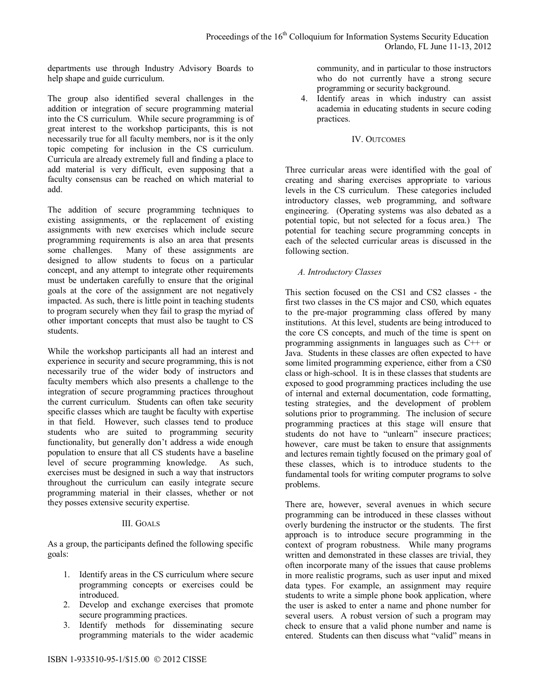departments use through Industry Advisory Boards to help shape and guide curriculum.

The group also identified several challenges in the addition or integration of secure programming material into the CS curriculum. While secure programming is of great interest to the workshop participants, this is not necessarily true for all faculty members, nor is it the only topic competing for inclusion in the CS curriculum. Curricula are already extremely full and finding a place to add material is very difficult, even supposing that a faculty consensus can be reached on which material to add.

The addition of secure programming techniques to existing assignments, or the replacement of existing assignments with new exercises which include secure programming requirements is also an area that presents some challenges. Many of these assignments are designed to allow students to focus on a particular concept, and any attempt to integrate other requirements must be undertaken carefully to ensure that the original goals at the core of the assignment are not negatively impacted. As such, there is little point in teaching students to program securely when they fail to grasp the myriad of other important concepts that must also be taught to CS students.

While the workshop participants all had an interest and experience in security and secure programming, this is not necessarily true of the wider body of instructors and faculty members which also presents a challenge to the integration of secure programming practices throughout the current curriculum. Students can often take security specific classes which are taught be faculty with expertise in that field. However, such classes tend to produce students who are suited to programming security functionality, but generally don't address a wide enough population to ensure that all CS students have a baseline level of secure programming knowledge. As such, exercises must be designed in such a way that instructors throughout the curriculum can easily integrate secure programming material in their classes, whether or not they posses extensive security expertise.

#### III. GOALS

As a group, the participants defined the following specific goals:

- 1. Identify areas in the CS curriculum where secure programming concepts or exercises could be introduced.
- 2. Develop and exchange exercises that promote secure programming practices.
- 3. Identify methods for disseminating secure programming materials to the wider academic

community, and in particular to those instructors who do not currently have a strong secure programming or security background.

4. Identify areas in which industry can assist academia in educating students in secure coding practices.

#### IV. OUTCOMES

Three curricular areas were identified with the goal of creating and sharing exercises appropriate to various levels in the CS curriculum. These categories included introductory classes, web programming, and software engineering. (Operating systems was also debated as a potential topic, but not selected for a focus area.) The potential for teaching secure programming concepts in each of the selected curricular areas is discussed in the following section.

# *A. Introductory Classes*

This section focused on the CS1 and CS2 classes - the first two classes in the CS major and CS0, which equates to the pre-major programming class offered by many institutions. At this level, students are being introduced to the core CS concepts, and much of the time is spent on programming assignments in languages such as C++ or Java. Students in these classes are often expected to have some limited programming experience, either from a CS0 class or high-school. It is in these classes that students are exposed to good programming practices including the use of internal and external documentation, code formatting, testing strategies, and the development of problem solutions prior to programming. The inclusion of secure programming practices at this stage will ensure that students do not have to "unlearn" insecure practices; however, care must be taken to ensure that assignments and lectures remain tightly focused on the primary goal of these classes, which is to introduce students to the fundamental tools for writing computer programs to solve problems.

There are, however, several avenues in which secure programming can be introduced in these classes without overly burdening the instructor or the students. The first approach is to introduce secure programming in the context of program robustness. While many programs written and demonstrated in these classes are trivial, they often incorporate many of the issues that cause problems in more realistic programs, such as user input and mixed data types. For example, an assignment may require students to write a simple phone book application, where the user is asked to enter a name and phone number for several users. A robust version of such a program may check to ensure that a valid phone number and name is entered. Students can then discuss what "valid" means in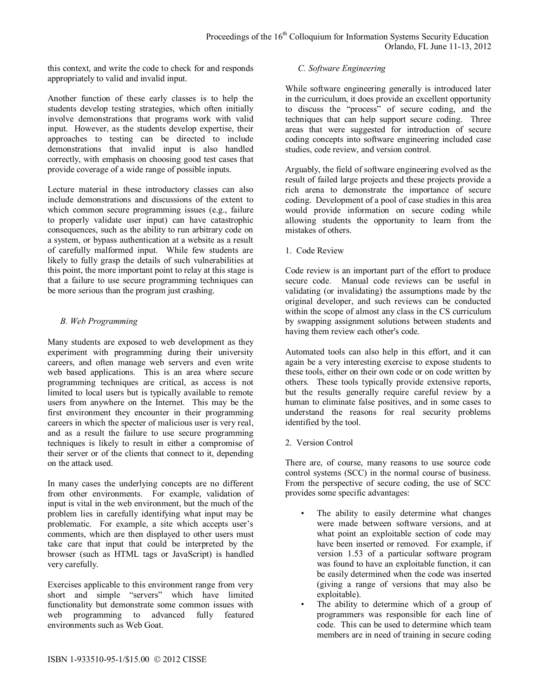this context, and write the code to check for and responds appropriately to valid and invalid input.

Another function of these early classes is to help the students develop testing strategies, which often initially involve demonstrations that programs work with valid input. However, as the students develop expertise, their approaches to testing can be directed to include demonstrations that invalid input is also handled correctly, with emphasis on choosing good test cases that provide coverage of a wide range of possible inputs.

Lecture material in these introductory classes can also include demonstrations and discussions of the extent to which common secure programming issues (e.g., failure to properly validate user input) can have catastrophic consequences, such as the ability to run arbitrary code on a system, or bypass authentication at a website as a result of carefully malformed input. While few students are likely to fully grasp the details of such vulnerabilities at this point, the more important point to relay at this stage is that a failure to use secure programming techniques can be more serious than the program just crashing.

# *B. Web Programming*

Many students are exposed to web development as they experiment with programming during their university careers, and often manage web servers and even write web based applications. This is an area where secure programming techniques are critical, as access is not limited to local users but is typically available to remote users from anywhere on the Internet. This may be the first environment they encounter in their programming careers in which the specter of malicious user is very real, and as a result the failure to use secure programming techniques is likely to result in either a compromise of their server or of the clients that connect to it, depending on the attack used.

In many cases the underlying concepts are no different from other environments. For example, validation of input is vital in the web environment, but the much of the problem lies in carefully identifying what input may be problematic. For example, a site which accepts user's comments, which are then displayed to other users must take care that input that could be interpreted by the browser (such as HTML tags or JavaScript) is handled very carefully.

Exercises applicable to this environment range from very short and simple "servers" which have limited functionality but demonstrate some common issues with web programming to advanced fully featured environments such as Web Goat.

## *C. Software Engineering*

While software engineering generally is introduced later in the curriculum, it does provide an excellent opportunity to discuss the "process" of secure coding, and the techniques that can help support secure coding. Three areas that were suggested for introduction of secure coding concepts into software engineering included case studies, code review, and version control.

Arguably, the field of software engineering evolved as the result of failed large projects and these projects provide a rich arena to demonstrate the importance of secure coding. Development of a pool of case studies in this area would provide information on secure coding while allowing students the opportunity to learn from the mistakes of others.

1. Code Review

Code review is an important part of the effort to produce secure code. Manual code reviews can be useful in validating (or invalidating) the assumptions made by the original developer, and such reviews can be conducted within the scope of almost any class in the CS curriculum by swapping assignment solutions between students and having them review each other's code.

Automated tools can also help in this effort, and it can again be a very interesting exercise to expose students to these tools, either on their own code or on code written by others. These tools typically provide extensive reports, but the results generally require careful review by a human to eliminate false positives, and in some cases to understand the reasons for real security problems identified by the tool.

2. Version Control

There are, of course, many reasons to use source code control systems (SCC) in the normal course of business. From the perspective of secure coding, the use of SCC provides some specific advantages:

- The ability to easily determine what changes were made between software versions, and at what point an exploitable section of code may have been inserted or removed. For example, if version 1.53 of a particular software program was found to have an exploitable function, it can be easily determined when the code was inserted (giving a range of versions that may also be exploitable).
- The ability to determine which of a group of programmers was responsible for each line of code. This can be used to determine which team members are in need of training in secure coding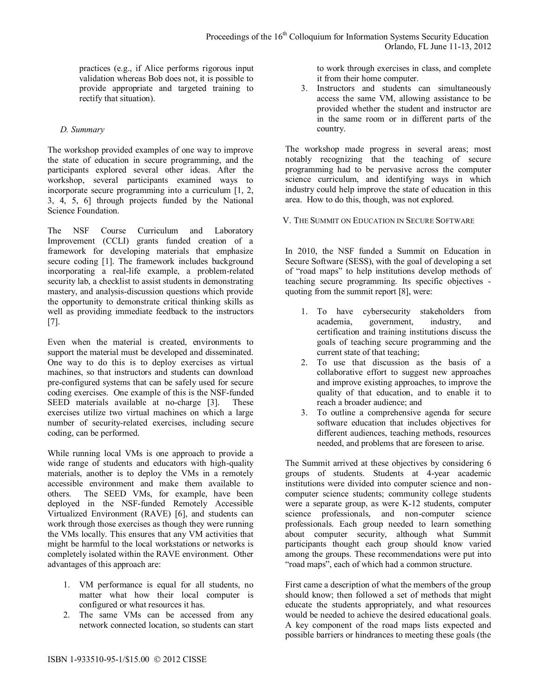practices (e.g., if Alice performs rigorous input validation whereas Bob does not, it is possible to provide appropriate and targeted training to rectify that situation).

## *D. Summary*

The workshop provided examples of one way to improve the state of education in secure programming, and the participants explored several other ideas. After the workshop, several participants examined ways to incorporate secure programming into a curriculum [1, 2, 3, 4, 5, 6] through projects funded by the National Science Foundation.

The NSF Course Curriculum and Laboratory Improvement (CCLI) grants funded creation of a framework for developing materials that emphasize secure coding [1]. The framework includes background incorporating a real-life example, a problem-related security lab, a checklist to assist students in demonstrating mastery, and analysis-discussion questions which provide the opportunity to demonstrate critical thinking skills as well as providing immediate feedback to the instructors [7].

Even when the material is created, environments to support the material must be developed and disseminated. One way to do this is to deploy exercises as virtual machines, so that instructors and students can download pre-configured systems that can be safely used for secure coding exercises. One example of this is the NSF-funded SEED materials available at no-charge [3]. These exercises utilize two virtual machines on which a large number of security-related exercises, including secure coding, can be performed.

While running local VMs is one approach to provide a wide range of students and educators with high-quality materials, another is to deploy the VMs in a remotely accessible environment and make them available to others. The SEED VMs, for example, have been deployed in the NSF-funded Remotely Accessible Virtualized Environment (RAVE) [6], and students can work through those exercises as though they were running the VMs locally. This ensures that any VM activities that might be harmful to the local workstations or networks is completely isolated within the RAVE environment. Other advantages of this approach are:

- 1. VM performance is equal for all students, no matter what how their local computer is configured or what resources it has.
- 2. The same VMs can be accessed from any network connected location, so students can start

to work through exercises in class, and complete it from their home computer.

3. Instructors and students can simultaneously access the same VM, allowing assistance to be provided whether the student and instructor are in the same room or in different parts of the country.

The workshop made progress in several areas; most notably recognizing that the teaching of secure programming had to be pervasive across the computer science curriculum, and identifying ways in which industry could help improve the state of education in this area. How to do this, though, was not explored.

V. THE SUMMIT ON EDUCATION IN SECURE SOFTWARE

In 2010, the NSF funded a Summit on Education in Secure Software (SESS), with the goal of developing a set of "road maps" to help institutions develop methods of teaching secure programming. Its specific objectives quoting from the summit report [8], were:

- 1. To have cybersecurity stakeholders from academia, government, industry, and certification and training institutions discuss the goals of teaching secure programming and the current state of that teaching;
- 2. To use that discussion as the basis of a collaborative effort to suggest new approaches and improve existing approaches, to improve the quality of that education, and to enable it to reach a broader audience; and
- 3. To outline a comprehensive agenda for secure software education that includes objectives for different audiences, teaching methods, resources needed, and problems that are foreseen to arise.

The Summit arrived at these objectives by considering 6 groups of students. Students at 4-year academic institutions were divided into computer science and noncomputer science students; community college students were a separate group, as were K-12 students, computer science professionals, and non-computer science professionals. Each group needed to learn something about computer security, although what Summit participants thought each group should know varied among the groups. These recommendations were put into "road maps", each of which had a common structure.

First came a description of what the members of the group should know; then followed a set of methods that might educate the students appropriately, and what resources would be needed to achieve the desired educational goals. A key component of the road maps lists expected and possible barriers or hindrances to meeting these goals (the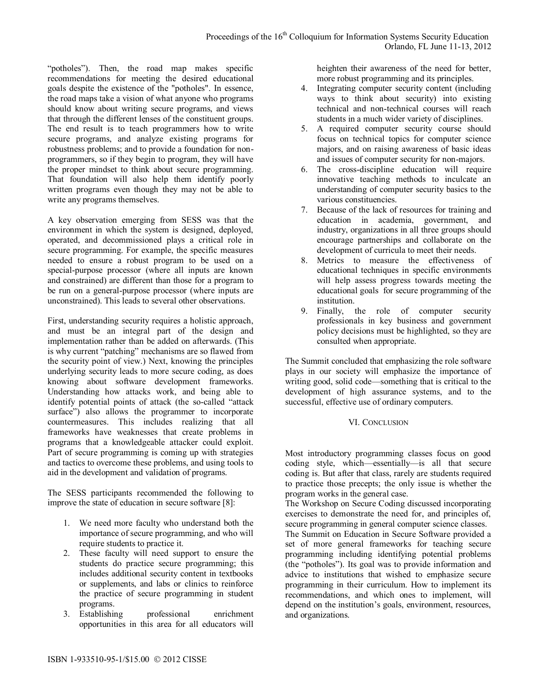"potholes"). Then, the road map makes specific recommendations for meeting the desired educational goals despite the existence of the "potholes". In essence, the road maps take a vision of what anyone who programs should know about writing secure programs, and views that through the different lenses of the constituent groups. The end result is to teach programmers how to write secure programs, and analyze existing programs for robustness problems; and to provide a foundation for nonprogrammers, so if they begin to program, they will have the proper mindset to think about secure programming. That foundation will also help them identify poorly written programs even though they may not be able to write any programs themselves.

A key observation emerging from SESS was that the environment in which the system is designed, deployed, operated, and decommissioned plays a critical role in secure programming. For example, the specific measures needed to ensure a robust program to be used on a special-purpose processor (where all inputs are known and constrained) are different than those for a program to be run on a general-purpose processor (where inputs are unconstrained). This leads to several other observations.

First, understanding security requires a holistic approach, and must be an integral part of the design and implementation rather than be added on afterwards. (This is why current "patching" mechanisms are so flawed from the security point of view.) Next, knowing the principles underlying security leads to more secure coding, as does knowing about software development frameworks. Understanding how attacks work, and being able to identify potential points of attack (the so-called "attack surface") also allows the programmer to incorporate countermeasures. This includes realizing that all frameworks have weaknesses that create problems in programs that a knowledgeable attacker could exploit. Part of secure programming is coming up with strategies and tactics to overcome these problems, and using tools to aid in the development and validation of programs.

The SESS participants recommended the following to improve the state of education in secure software [8]:

- 1. We need more faculty who understand both the importance of secure programming, and who will require students to practice it.
- 2. These faculty will need support to ensure the students do practice secure programming; this includes additional security content in textbooks or supplements, and labs or clinics to reinforce the practice of secure programming in student programs.
- 3. Establishing professional enrichment opportunities in this area for all educators will

heighten their awareness of the need for better, more robust programming and its principles.

- 4. Integrating computer security content (including ways to think about security) into existing technical and non-technical courses will reach students in a much wider variety of disciplines.
- 5. A required computer security course should focus on technical topics for computer science majors, and on raising awareness of basic ideas and issues of computer security for non-majors.
- 6. The cross-discipline education will require innovative teaching methods to inculcate an understanding of computer security basics to the various constituencies.
- 7. Because of the lack of resources for training and education in academia, government, and industry, organizations in all three groups should encourage partnerships and collaborate on the development of curricula to meet their needs.
- 8. Metrics to measure the effectiveness of educational techniques in specific environments will help assess progress towards meeting the educational goals for secure programming of the institution.
- 9. Finally, the role of computer security professionals in key business and government policy decisions must be highlighted, so they are consulted when appropriate.

The Summit concluded that emphasizing the role software plays in our society will emphasize the importance of writing good, solid code—something that is critical to the development of high assurance systems, and to the successful, effective use of ordinary computers.

# VI. CONCLUSION

Most introductory programming classes focus on good coding style, which—essentially—is all that secure coding is. But after that class, rarely are students required to practice those precepts; the only issue is whether the program works in the general case.

The Workshop on Secure Coding discussed incorporating exercises to demonstrate the need for, and principles of, secure programming in general computer science classes.

The Summit on Education in Secure Software provided a set of more general frameworks for teaching secure programming including identifying potential problems (the "potholes"). Its goal was to provide information and advice to institutions that wished to emphasize secure programming in their curriculum. How to implement its recommendations, and which ones to implement, will depend on the institution's goals, environment, resources, and organizations.